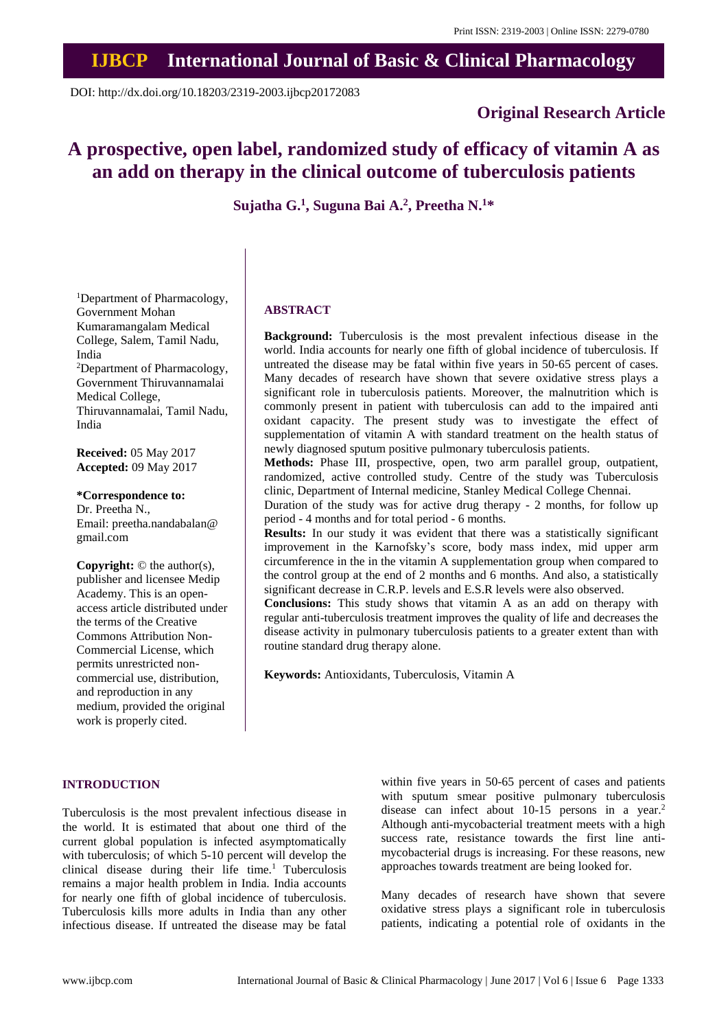## **IJBCP International Journal of Basic & Clinical Pharmacology**

DOI: http://dx.doi.org/10.18203/2319-2003.ijbcp20172083

### **Original Research Article**

# **A prospective, open label, randomized study of efficacy of vitamin A as an add on therapy in the clinical outcome of tuberculosis patients**

**Sujatha G.<sup>1</sup> , Suguna Bai A.<sup>2</sup> , Preetha N.<sup>1</sup>\***

<sup>1</sup>Department of Pharmacology, Government Mohan Kumaramangalam Medical College, Salem, Tamil Nadu, India <sup>2</sup>Department of Pharmacology, Government Thiruvannamalai Medical College, Thiruvannamalai, Tamil Nadu, India

**Received:** 05 May 2017 **Accepted:** 09 May 2017

**\*Correspondence to:** Dr. Preetha N., Email: preetha.nandabalan@ gmail.com

**Copyright:** © the author(s), publisher and licensee Medip Academy. This is an openaccess article distributed under the terms of the Creative Commons Attribution Non-Commercial License, which permits unrestricted noncommercial use, distribution, and reproduction in any medium, provided the original work is properly cited.

#### **ABSTRACT**

**Background:** Tuberculosis is the most prevalent infectious disease in the world. India accounts for nearly one fifth of global incidence of tuberculosis. If untreated the disease may be fatal within five years in 50-65 percent of cases. Many decades of research have shown that severe oxidative stress plays a significant role in tuberculosis patients. Moreover, the malnutrition which is commonly present in patient with tuberculosis can add to the impaired anti oxidant capacity. The present study was to investigate the effect of supplementation of vitamin A with standard treatment on the health status of newly diagnosed sputum positive pulmonary tuberculosis patients.

**Methods:** Phase III, prospective, open, two arm parallel group, outpatient, randomized, active controlled study. Centre of the study was Tuberculosis clinic, Department of Internal medicine, Stanley Medical College Chennai.

Duration of the study was for active drug therapy - 2 months, for follow up period - 4 months and for total period - 6 months.

**Results:** In our study it was evident that there was a statistically significant improvement in the Karnofsky's score, body mass index, mid upper arm circumference in the in the vitamin A supplementation group when compared to the control group at the end of 2 months and 6 months. And also, a statistically significant decrease in C.R.P. levels and E.S.R levels were also observed.

**Conclusions:** This study shows that vitamin A as an add on therapy with regular anti-tuberculosis treatment improves the quality of life and decreases the disease activity in pulmonary tuberculosis patients to a greater extent than with routine standard drug therapy alone.

**Keywords:** Antioxidants, Tuberculosis, Vitamin A

#### **INTRODUCTION**

Tuberculosis is the most prevalent infectious disease in the world. It is estimated that about one third of the current global population is infected asymptomatically with tuberculosis; of which 5-10 percent will develop the clinical disease during their life time.<sup>1</sup> Tuberculosis remains a major health problem in India. India accounts for nearly one fifth of global incidence of tuberculosis. Tuberculosis kills more adults in India than any other infectious disease. If untreated the disease may be fatal within five years in 50-65 percent of cases and patients with sputum smear positive pulmonary tuberculosis disease can infect about 10-15 persons in a year.<sup>2</sup> Although anti-mycobacterial treatment meets with a high success rate, resistance towards the first line antimycobacterial drugs is increasing. For these reasons, new approaches towards treatment are being looked for.

Many decades of research have shown that severe oxidative stress plays a significant role in tuberculosis patients, indicating a potential role of oxidants in the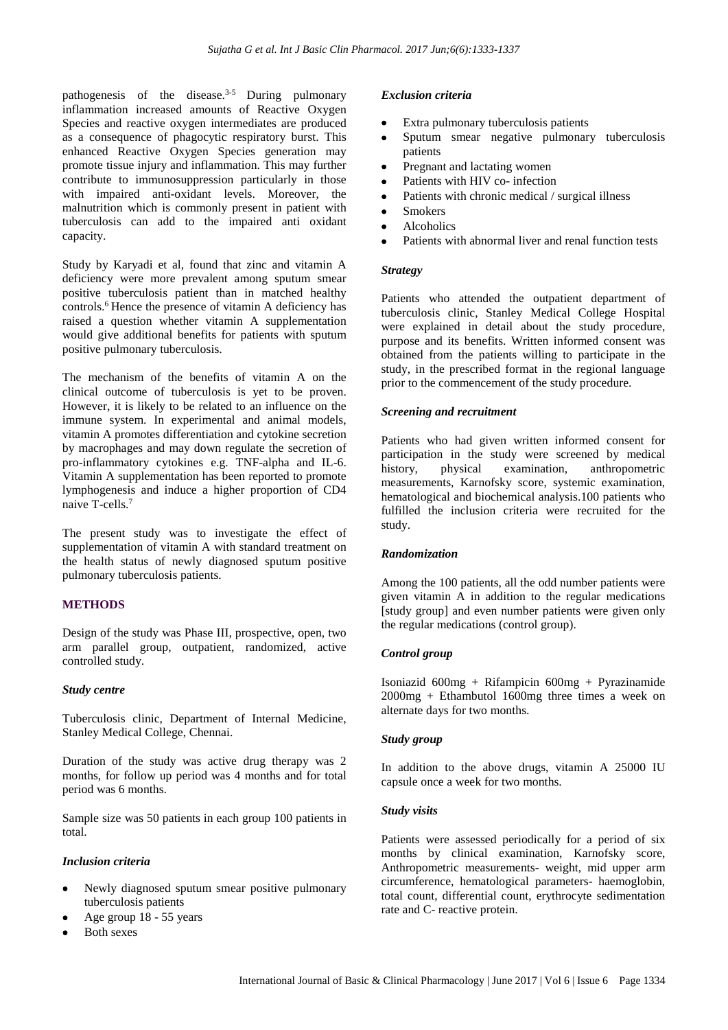pathogenesis of the disease. $3-5$  During pulmonary inflammation increased amounts of Reactive Oxygen Species and reactive oxygen intermediates are produced as a consequence of phagocytic respiratory burst. This enhanced Reactive Oxygen Species generation may promote tissue injury and inflammation. This may further contribute to immunosuppression particularly in those with impaired anti-oxidant levels. Moreover, the malnutrition which is commonly present in patient with tuberculosis can add to the impaired anti oxidant capacity.

Study by Karyadi et al, found that zinc and vitamin A deficiency were more prevalent among sputum smear positive tuberculosis patient than in matched healthy controls.<sup>6</sup> Hence the presence of vitamin A deficiency has raised a question whether vitamin A supplementation would give additional benefits for patients with sputum positive pulmonary tuberculosis.

The mechanism of the benefits of vitamin A on the clinical outcome of tuberculosis is yet to be proven. However, it is likely to be related to an influence on the immune system. In experimental and animal models, vitamin A promotes differentiation and cytokine secretion by macrophages and may down regulate the secretion of pro-inflammatory cytokines e.g. TNF-alpha and IL-6. Vitamin A supplementation has been reported to promote lymphogenesis and induce a higher proportion of CD4 naive T-cells.<sup>7</sup>

The present study was to investigate the effect of supplementation of vitamin A with standard treatment on the health status of newly diagnosed sputum positive pulmonary tuberculosis patients.

#### **METHODS**

Design of the study was Phase III, prospective, open, two arm parallel group, outpatient, randomized, active controlled study.

#### *Study centre*

Tuberculosis clinic, Department of Internal Medicine, Stanley Medical College, Chennai.

Duration of the study was active drug therapy was 2 months, for follow up period was 4 months and for total period was 6 months.

Sample size was 50 patients in each group 100 patients in total.

#### *Inclusion criteria*

- Newly diagnosed sputum smear positive pulmonary tuberculosis patients
- Age group 18 55 years
- Both sexes

#### *Exclusion criteria*

- Extra pulmonary tuberculosis patients
- Sputum smear negative pulmonary tuberculosis patients
- Pregnant and lactating women
- Patients with HIV co- infection
- Patients with chronic medical / surgical illness
- Smokers
- Alcoholics
- Patients with abnormal liver and renal function tests

#### *Strategy*

Patients who attended the outpatient department of tuberculosis clinic, Stanley Medical College Hospital were explained in detail about the study procedure, purpose and its benefits. Written informed consent was obtained from the patients willing to participate in the study, in the prescribed format in the regional language prior to the commencement of the study procedure.

#### *Screening and recruitment*

Patients who had given written informed consent for participation in the study were screened by medical history, physical examination, anthropometric measurements, Karnofsky score, systemic examination, hematological and biochemical analysis.100 patients who fulfilled the inclusion criteria were recruited for the study.

#### *Randomization*

Among the 100 patients, all the odd number patients were given vitamin A in addition to the regular medications [study group] and even number patients were given only the regular medications (control group).

#### *Control group*

Isoniazid 600mg + Rifampicin 600mg + Pyrazinamide 2000mg + Ethambutol 1600mg three times a week on alternate days for two months.

#### *Study group*

In addition to the above drugs, vitamin A 25000 IU capsule once a week for two months.

#### *Study visits*

Patients were assessed periodically for a period of six months by clinical examination, Karnofsky score, Anthropometric measurements- weight, mid upper arm circumference, hematological parameters- haemoglobin, total count, differential count, erythrocyte sedimentation rate and C- reactive protein.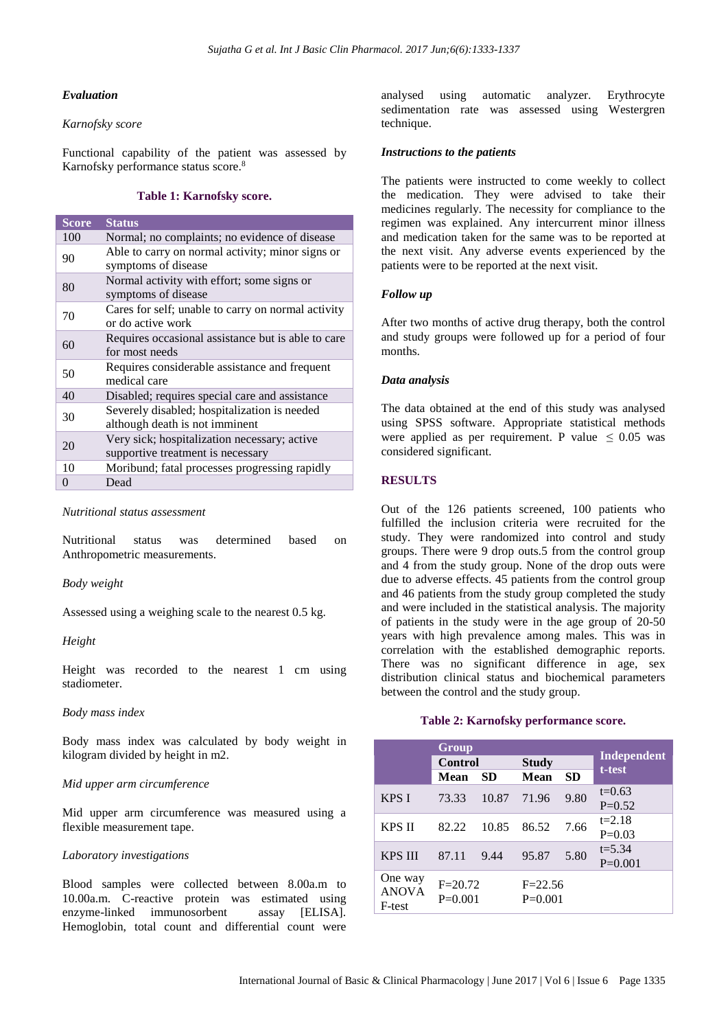#### *Evaluation*

#### *Karnofsky score*

Functional capability of the patient was assessed by Karnofsky performance status score. 8

#### **Table 1: Karnofsky score.**

| <b>Score</b> | <b>Status</b>                                                                     |
|--------------|-----------------------------------------------------------------------------------|
| 100          | Normal; no complaints; no evidence of disease                                     |
| 90           | Able to carry on normal activity; minor signs or<br>symptoms of disease           |
| 80           | Normal activity with effort; some signs or<br>symptoms of disease                 |
| 70           | Cares for self; unable to carry on normal activity<br>or do active work           |
| 60           | Requires occasional assistance but is able to care<br>for most needs              |
| 50           | Requires considerable assistance and frequent<br>medical care                     |
| 40           | Disabled; requires special care and assistance                                    |
| 30           | Severely disabled; hospitalization is needed<br>although death is not imminent    |
| 20           | Very sick; hospitalization necessary; active<br>supportive treatment is necessary |
| 10           | Moribund; fatal processes progressing rapidly                                     |
| $\theta$     | Dead                                                                              |

#### *Nutritional status assessment*

Nutritional status was determined based on Anthropometric measurements.

#### *Body weight*

Assessed using a weighing scale to the nearest 0.5 kg.

#### *Height*

Height was recorded to the nearest 1 cm using stadiometer.

#### *Body mass index*

Body mass index was calculated by body weight in kilogram divided by height in m2.

#### *Mid upper arm circumference*

Mid upper arm circumference was measured using a flexible measurement tape.

#### *Laboratory investigations*

Blood samples were collected between 8.00a.m to 10.00a.m. C-reactive protein was estimated using enzyme-linked immunosorbent assay [ELISA]. Hemoglobin, total count and differential count were analysed using automatic analyzer. Erythrocyte sedimentation rate was assessed using Westergren technique.

#### *Instructions to the patients*

The patients were instructed to come weekly to collect the medication. They were advised to take their medicines regularly. The necessity for compliance to the regimen was explained. Any intercurrent minor illness and medication taken for the same was to be reported at the next visit. Any adverse events experienced by the patients were to be reported at the next visit.

#### *Follow up*

After two months of active drug therapy, both the control and study groups were followed up for a period of four months.

#### *Data analysis*

The data obtained at the end of this study was analysed using SPSS software. Appropriate statistical methods were applied as per requirement. P value  $\leq 0.05$  was considered significant.

#### **RESULTS**

Out of the 126 patients screened, 100 patients who fulfilled the inclusion criteria were recruited for the study. They were randomized into control and study groups. There were 9 drop outs.5 from the control group and 4 from the study group. None of the drop outs were due to adverse effects. 45 patients from the control group and 46 patients from the study group completed the study and were included in the statistical analysis. The majority of patients in the study were in the age group of 20-50 years with high prevalence among males. This was in correlation with the established demographic reports. There was no significant difference in age, sex distribution clinical status and biochemical parameters between the control and the study group.

#### **Table 2: Karnofsky performance score.**

|                                   | Group                    |       |                          |           |                              |  |
|-----------------------------------|--------------------------|-------|--------------------------|-----------|------------------------------|--|
|                                   | <b>Control</b>           |       | <b>Study</b>             |           | <b>Independent</b><br>t-test |  |
|                                   | <b>Mean</b>              | SD    | <b>Mean</b>              | <b>SD</b> |                              |  |
| <b>KPS I</b>                      | 73.33                    | 10.87 | 71.96                    | 9.80      | $t=0.63$<br>$P=0.52$         |  |
| KPS II                            | 82.22                    | 10.85 | 86.52                    | 7.66      | $t = 2.18$<br>$P=0.03$       |  |
| <b>KPS III</b>                    | 87.11                    | 9.44  | 95.87                    | 5.80      | $t = 5.34$<br>$P=0.001$      |  |
| One way<br><b>ANOVA</b><br>F-test | $F = 20.72$<br>$P=0.001$ |       | $F = 22.56$<br>$P=0.001$ |           |                              |  |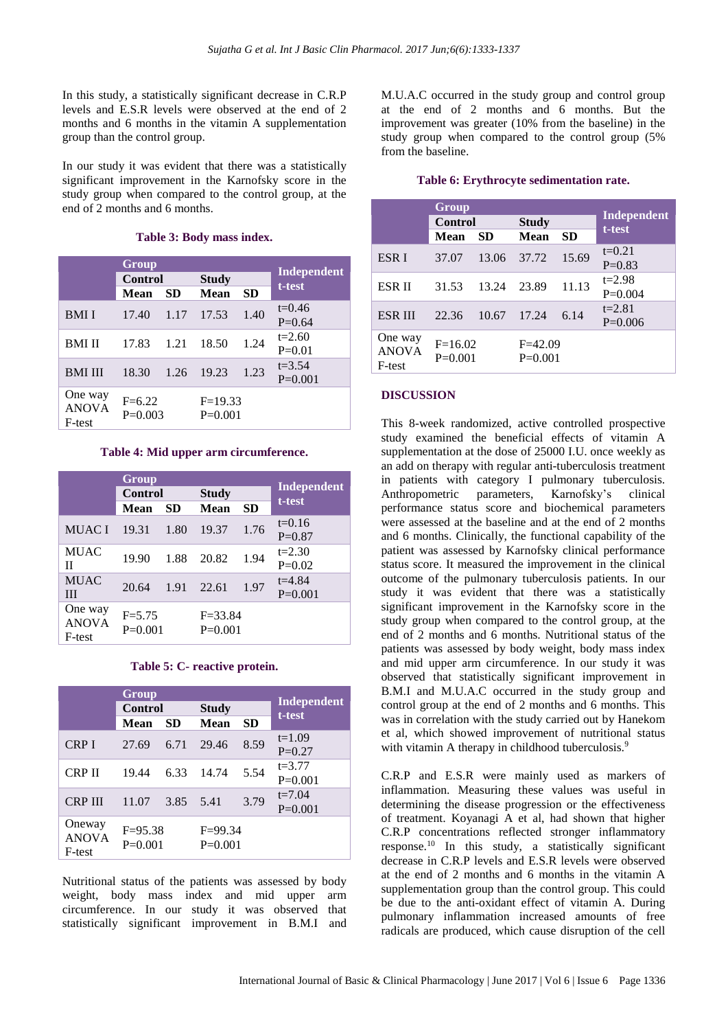In this study, a statistically significant decrease in C.R.P levels and E.S.R levels were observed at the end of 2 months and 6 months in the vitamin A supplementation group than the control group.

In our study it was evident that there was a statistically significant improvement in the Karnofsky score in the study group when compared to the control group, at the end of 2 months and 6 months.

|  |  |  |  | Table 3: Body mass index. |
|--|--|--|--|---------------------------|
|--|--|--|--|---------------------------|

|                                   | Group<br>Control      |           | <b>Study</b>           |      | Independent             |
|-----------------------------------|-----------------------|-----------|------------------------|------|-------------------------|
|                                   | Mean                  | <b>SD</b> | Mean                   | SD   | t-test                  |
| <b>BMII</b>                       | 17.40                 | 1.17      | 17.53                  | 1.40 | $t=0.46$<br>$P=0.64$    |
| <b>BMI II</b>                     | 17.83                 | 1.21      | 18.50                  | 1.24 | $t=2.60$<br>$P=0.01$    |
| <b>BMI III</b>                    | 18.30                 | 1.26      | 19.23                  | 1.23 | $t = 3.54$<br>$P=0.001$ |
| One way<br><b>ANOVA</b><br>F-test | $F=6.22$<br>$P=0.003$ |           | $F=19.33$<br>$P=0.001$ |      |                         |

#### **Table 4: Mid upper arm circumference.**

|                                   | Group                   |           | Independent              |              |                         |
|-----------------------------------|-------------------------|-----------|--------------------------|--------------|-------------------------|
|                                   | <b>Control</b>          |           |                          | <b>Study</b> |                         |
|                                   | Mean                    | <b>SD</b> | <b>Mean</b>              | <b>SD</b>    | t-test                  |
| <b>MUACI</b>                      | 19.31                   | 1.80      | 19.37                    | 1.76         | $t=0.16$<br>$P=0.87$    |
| <b>MUAC</b><br>П                  | 19.90                   | 1.88      | 20.82                    | 1.94         | $t = 2.30$<br>$P=0.02$  |
| <b>MUAC</b><br>Ш                  | 20.64                   | 1.91      | 22.61                    | 1.97         | $t = 4.84$<br>$P=0.001$ |
| One way<br><b>ANOVA</b><br>F-test | $F = 5.75$<br>$P=0.001$ |           | $F = 33.84$<br>$P=0.001$ |              |                         |

#### **Table 5: C- reactive protein.**

|                                  | <b>Group</b>             |           | <b>Independent</b><br>t-test |              |                         |
|----------------------------------|--------------------------|-----------|------------------------------|--------------|-------------------------|
|                                  | <b>Control</b>           |           |                              | <b>Study</b> |                         |
|                                  | Mean                     | <b>SD</b> | Mean                         | <b>SD</b>    |                         |
| <b>CRP I</b>                     | 27.69                    | 6.71      | 29.46                        | 8.59         | $t=1.09$<br>$P=0.27$    |
| <b>CRP II</b>                    | 19.44                    | 6.33      | 14.74                        | 5.54         | $t = 3.77$<br>$P=0.001$ |
| <b>CRP III</b>                   | 11.07                    | 3.85      | 5.41                         | 3.79         | $t = 7.04$<br>$P=0.001$ |
| Oneway<br><b>ANOVA</b><br>F-test | $F = 95.38$<br>$P=0.001$ |           | $F = 99.34$<br>$P=0.001$     |              |                         |

Nutritional status of the patients was assessed by body weight, body mass index and mid upper arm circumference. In our study it was observed that statistically significant improvement in B.M.I and M.U.A.C occurred in the study group and control group at the end of 2 months and 6 months. But the improvement was greater (10% from the baseline) in the study group when compared to the control group (5% from the baseline.

|                                   | Group                  |       |                        |           |                       |
|-----------------------------------|------------------------|-------|------------------------|-----------|-----------------------|
|                                   | <b>Control</b>         |       | <b>Study</b>           |           | Independent<br>t-test |
|                                   | Mean                   | SD    | <b>Mean</b>            | <b>SD</b> |                       |
| ESR <sub>I</sub>                  | 37.07                  | 13.06 | 37.72                  | 15.69     | $t=0.21$              |
|                                   |                        |       |                        |           | $P=0.83$              |
| <b>ESR II</b>                     | 31.53                  | 13.24 | 23.89                  | 11.13     | $t = 2.98$            |
|                                   |                        |       |                        |           | $P=0.004$             |
| ESR III                           | 22.36                  | 10.67 | 17.24                  | 6.14      | $t = 2.81$            |
|                                   |                        |       |                        |           | $P=0.006$             |
| One way<br><b>ANOVA</b><br>F-test | $F=16.02$<br>$P=0.001$ |       | $F=42.09$<br>$P=0.001$ |           |                       |

#### **Table 6: Erythrocyte sedimentation rate.**

#### **DISCUSSION**

This 8-week randomized, active controlled prospective study examined the beneficial effects of vitamin A supplementation at the dose of 25000 I.U. once weekly as an add on therapy with regular anti-tuberculosis treatment in patients with category I pulmonary tuberculosis. Anthropometric parameters, Karnofsky's clinical performance status score and biochemical parameters were assessed at the baseline and at the end of 2 months and 6 months. Clinically, the functional capability of the patient was assessed by Karnofsky clinical performance status score. It measured the improvement in the clinical outcome of the pulmonary tuberculosis patients. In our study it was evident that there was a statistically significant improvement in the Karnofsky score in the study group when compared to the control group, at the end of 2 months and 6 months. Nutritional status of the patients was assessed by body weight, body mass index and mid upper arm circumference. In our study it was observed that statistically significant improvement in B.M.I and M.U.A.C occurred in the study group and control group at the end of 2 months and 6 months. This was in correlation with the study carried out by Hanekom et al, which showed improvement of nutritional status with vitamin A therapy in childhood tuberculosis.<sup>9</sup>

C.R.P and E.S.R were mainly used as markers of inflammation. Measuring these values was useful in determining the disease progression or the effectiveness of treatment. Koyanagi A et al, had shown that higher C.R.P concentrations reflected stronger inflammatory response.<sup>10</sup> In this study, a statistically significant decrease in C.R.P levels and E.S.R levels were observed at the end of 2 months and 6 months in the vitamin A supplementation group than the control group. This could be due to the anti-oxidant effect of vitamin A. During pulmonary inflammation increased amounts of free radicals are produced, which cause disruption of the cell